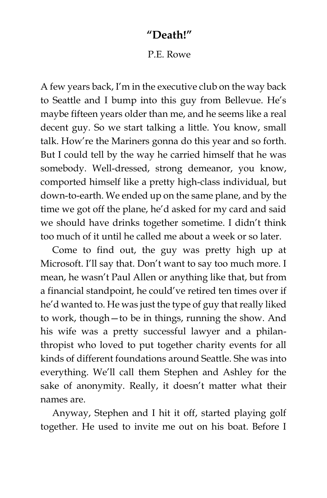## **"Death!"**

## P.E. Rowe

A few years back, I'm in the executive club on the way back to Seattle and I bump into this guy from Bellevue. He's maybe fifteen years older than me, and he seems like a real decent guy. So we start talking a little. You know, small talk. How're the Mariners gonna do this year and so forth. But I could tell by the way he carried himself that he was somebody. Well-dressed, strong demeanor, you know, comported himself like a pretty high-class individual, but down-to-earth. We ended up on the same plane, and by the time we got off the plane, he'd asked for my card and said we should have drinks together sometime. I didn't think too much of it until he called me about a week or so later.

Come to find out, the guy was pretty high up at Microsoft. I'll say that. Don't want to say too much more. I mean, he wasn't Paul Allen or anything like that, but from a financial standpoint, he could've retired ten times over if he'd wanted to. He was just the type of guy that really liked to work, though—to be in things, running the show. And his wife was a pretty successful lawyer and a philanthropist who loved to put together charity events for all kinds of different foundations around Seattle. She was into everything. We'll call them Stephen and Ashley for the sake of anonymity. Really, it doesn't matter what their names are.

Anyway, Stephen and I hit it off, started playing golf together. He used to invite me out on his boat. Before I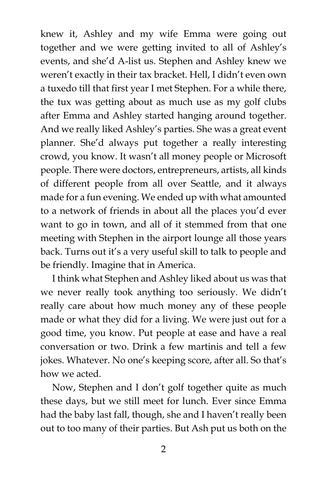knew it, Ashley and my wife Emma were going out together and we were getting invited to all of Ashley's events, and she'd A-list us. Stephen and Ashley knew we weren't exactly in their tax bracket. Hell, I didn't even own a tuxedo till that first year I met Stephen. For a while there, the tux was getting about as much use as my golf clubs after Emma and Ashley started hanging around together. And we really liked Ashley's parties. She was a great event planner. She'd always put together a really interesting crowd, you know. It wasn't all money people or Microsoft people. There were doctors, entrepreneurs, artists, all kinds of different people from all over Seattle, and it always made for a fun evening. We ended up with what amounted to a network of friends in about all the places you'd ever want to go in town, and all of it stemmed from that one meeting with Stephen in the airport lounge all those years back. Turns out it's a very useful skill to talk to people and be friendly. Imagine that in America.

I think what Stephen and Ashley liked about us was that we never really took anything too seriously. We didn't really care about how much money any of these people made or what they did for a living. We were just out for a good time, you know. Put people at ease and have a real conversation or two. Drink a few martinis and tell a few jokes. Whatever. No one's keeping score, after all. So that's how we acted.

Now, Stephen and I don't golf together quite as much these days, but we still meet for lunch. Ever since Emma had the baby last fall, though, she and I haven't really been out to too many of their parties. But Ash put us both on the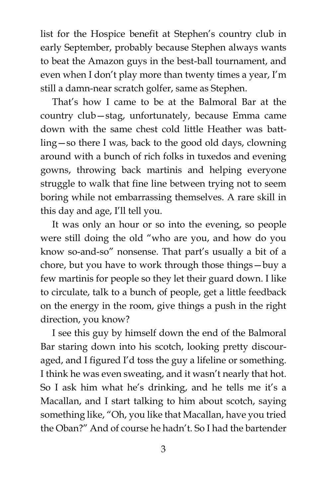list for the Hospice benefit at Stephen's country club in early September, probably because Stephen always wants to beat the Amazon guys in the best-ball tournament, and even when I don't play more than twenty times a year, I'm still a damn-near scratch golfer, same as Stephen.

That's how I came to be at the Balmoral Bar at the country club—stag, unfortunately, because Emma came down with the same chest cold little Heather was battling—so there I was, back to the good old days, clowning around with a bunch of rich folks in tuxedos and evening gowns, throwing back martinis and helping everyone struggle to walk that fine line between trying not to seem boring while not embarrassing themselves. A rare skill in this day and age, I'll tell you.

It was only an hour or so into the evening, so people were still doing the old "who are you, and how do you know so-and-so" nonsense. That part's usually a bit of a chore, but you have to work through those things—buy a few martinis for people so they let their guard down. I like to circulate, talk to a bunch of people, get a little feedback on the energy in the room, give things a push in the right direction, you know?

I see this guy by himself down the end of the Balmoral Bar staring down into his scotch, looking pretty discouraged, and I figured I'd toss the guy a lifeline or something. I think he was even sweating, and it wasn't nearly that hot. So I ask him what he's drinking, and he tells me it's a Macallan, and I start talking to him about scotch, saying something like, "Oh, you like that Macallan, have you tried the Oban?" And of course he hadn't. So I had the bartender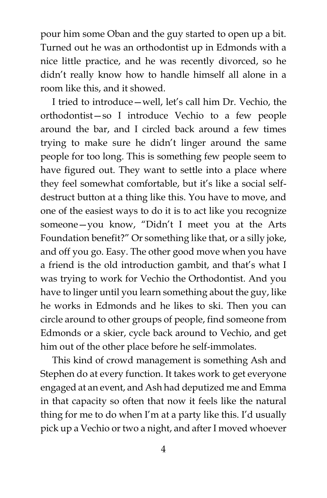pour him some Oban and the guy started to open up a bit. Turned out he was an orthodontist up in Edmonds with a nice little practice, and he was recently divorced, so he didn't really know how to handle himself all alone in a room like this, and it showed.

I tried to introduce—well, let's call him Dr. Vechio, the orthodontist—so I introduce Vechio to a few people around the bar, and I circled back around a few times trying to make sure he didn't linger around the same people for too long. This is something few people seem to have figured out. They want to settle into a place where they feel somewhat comfortable, but it's like a social selfdestruct button at a thing like this. You have to move, and one of the easiest ways to do it is to act like you recognize someone—you know, "Didn't I meet you at the Arts Foundation benefit?" Or something like that, or a silly joke, and off you go. Easy. The other good move when you have a friend is the old introduction gambit, and that's what I was trying to work for Vechio the Orthodontist. And you have to linger until you learn something about the guy, like he works in Edmonds and he likes to ski. Then you can circle around to other groups of people, find someone from Edmonds or a skier, cycle back around to Vechio, and get him out of the other place before he self-immolates.

This kind of crowd management is something Ash and Stephen do at every function. It takes work to get everyone engaged at an event, and Ash had deputized me and Emma in that capacity so often that now it feels like the natural thing for me to do when I'm at a party like this. I'd usually pick up a Vechio or two a night, and after I moved whoever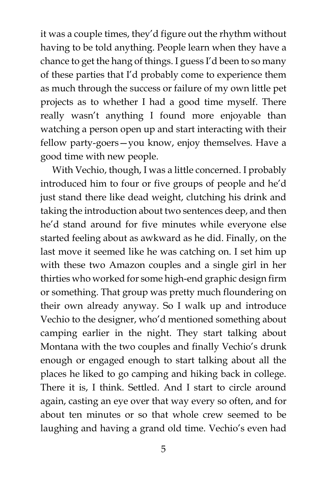it was a couple times, they'd figure out the rhythm without having to be told anything. People learn when they have a chance to get the hang of things. I guess I'd been to so many of these parties that I'd probably come to experience them as much through the success or failure of my own little pet projects as to whether I had a good time myself. There really wasn't anything I found more enjoyable than watching a person open up and start interacting with their fellow party-goers—you know, enjoy themselves. Have a good time with new people.

With Vechio, though, I was a little concerned. I probably introduced him to four or five groups of people and he'd just stand there like dead weight, clutching his drink and taking the introduction about two sentences deep, and then he'd stand around for five minutes while everyone else started feeling about as awkward as he did. Finally, on the last move it seemed like he was catching on. I set him up with these two Amazon couples and a single girl in her thirties who worked for some high-end graphic design firm or something. That group was pretty much floundering on their own already anyway. So I walk up and introduce Vechio to the designer, who'd mentioned something about camping earlier in the night. They start talking about Montana with the two couples and finally Vechio's drunk enough or engaged enough to start talking about all the places he liked to go camping and hiking back in college. There it is, I think. Settled. And I start to circle around again, casting an eye over that way every so often, and for about ten minutes or so that whole crew seemed to be laughing and having a grand old time. Vechio's even had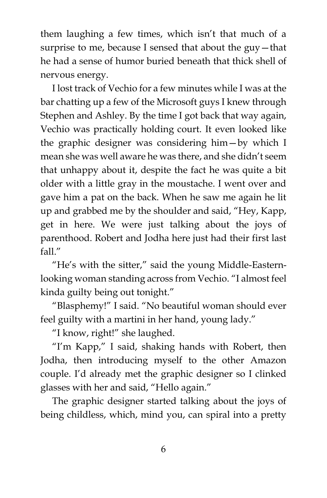them laughing a few times, which isn't that much of a surprise to me, because I sensed that about the guy—that he had a sense of humor buried beneath that thick shell of nervous energy.

I lost track of Vechio for a few minutes while I was at the bar chatting up a few of the Microsoft guys I knew through Stephen and Ashley. By the time I got back that way again, Vechio was practically holding court. It even looked like the graphic designer was considering him—by which I mean she was well aware he was there, and she didn't seem that unhappy about it, despite the fact he was quite a bit older with a little gray in the moustache. I went over and gave him a pat on the back. When he saw me again he lit up and grabbed me by the shoulder and said, "Hey, Kapp, get in here. We were just talking about the joys of parenthood. Robert and Jodha here just had their first last fall."

"He's with the sitter," said the young Middle-Easternlooking woman standing across from Vechio. "I almost feel kinda guilty being out tonight."

"Blasphemy!" I said. "No beautiful woman should ever feel guilty with a martini in her hand, young lady."

"I know, right!" she laughed.

"I'm Kapp," I said, shaking hands with Robert, then Jodha, then introducing myself to the other Amazon couple. I'd already met the graphic designer so I clinked glasses with her and said, "Hello again."

The graphic designer started talking about the joys of being childless, which, mind you, can spiral into a pretty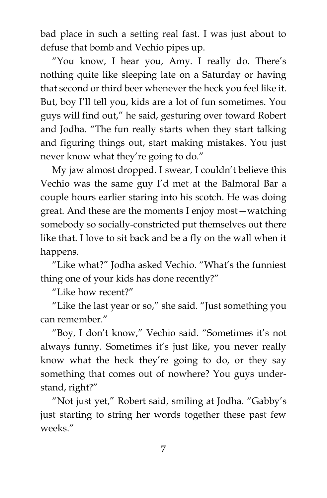bad place in such a setting real fast. I was just about to defuse that bomb and Vechio pipes up.

"You know, I hear you, Amy. I really do. There's nothing quite like sleeping late on a Saturday or having that second or third beer whenever the heck you feel like it. But, boy I'll tell you, kids are a lot of fun sometimes. You guys will find out," he said, gesturing over toward Robert and Jodha. "The fun really starts when they start talking and figuring things out, start making mistakes. You just never know what they're going to do."

My jaw almost dropped. I swear, I couldn't believe this Vechio was the same guy I'd met at the Balmoral Bar a couple hours earlier staring into his scotch. He was doing great. And these are the moments I enjoy most—watching somebody so socially-constricted put themselves out there like that. I love to sit back and be a fly on the wall when it happens.

"Like what?" Jodha asked Vechio. "What's the funniest thing one of your kids has done recently?"

"Like how recent?"

"Like the last year or so," she said. "Just something you can remember."

"Boy, I don't know," Vechio said. "Sometimes it's not always funny. Sometimes it's just like, you never really know what the heck they're going to do, or they say something that comes out of nowhere? You guys understand, right?"

"Not just yet," Robert said, smiling at Jodha. "Gabby's just starting to string her words together these past few weeks."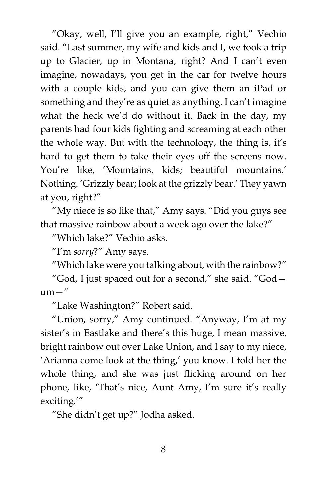"Okay, well, I'll give you an example, right," Vechio said. "Last summer, my wife and kids and I, we took a trip up to Glacier, up in Montana, right? And I can't even imagine, nowadays, you get in the car for twelve hours with a couple kids, and you can give them an iPad or something and they're as quiet as anything. I can't imagine what the heck we'd do without it. Back in the day, my parents had four kids fighting and screaming at each other the whole way. But with the technology, the thing is, it's hard to get them to take their eyes off the screens now. You're like, 'Mountains, kids; beautiful mountains.' Nothing. 'Grizzly bear; look at the grizzly bear.' They yawn at you, right?"

"My niece is so like that," Amy says. "Did you guys see that massive rainbow about a week ago over the lake?"

"Which lake?" Vechio asks.

"I'm *sorry*?" Amy says.

"Which lake were you talking about, with the rainbow?"

"God, I just spaced out for a second," she said. "God  $um -$ "

"Lake Washington?" Robert said.

"Union, sorry," Amy continued. "Anyway, I'm at my sister's in Eastlake and there's this huge, I mean massive, bright rainbow out over Lake Union, and I say to my niece, 'Arianna come look at the thing,' you know. I told her the whole thing, and she was just flicking around on her phone, like, 'That's nice, Aunt Amy, I'm sure it's really exciting.'"

"She didn't get up?" Jodha asked.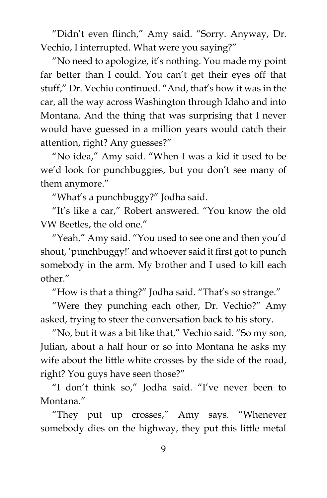"Didn't even flinch," Amy said. "Sorry. Anyway, Dr. Vechio, I interrupted. What were you saying?"

"No need to apologize, it's nothing. You made my point far better than I could. You can't get their eyes off that stuff," Dr. Vechio continued. "And, that's how it was in the car, all the way across Washington through Idaho and into Montana. And the thing that was surprising that I never would have guessed in a million years would catch their attention, right? Any guesses?"

"No idea," Amy said. "When I was a kid it used to be we'd look for punchbuggies, but you don't see many of them anymore."

"What's a punchbuggy?" Jodha said.

"It's like a car," Robert answered. "You know the old VW Beetles, the old one."

"Yeah," Amy said. "You used to see one and then you'd shout, 'punchbuggy!' and whoever said it first got to punch somebody in the arm. My brother and I used to kill each other."

"How is that a thing?" Jodha said. "That's so strange."

"Were they punching each other, Dr. Vechio?" Amy asked, trying to steer the conversation back to his story.

"No, but it was a bit like that," Vechio said. "So my son, Julian, about a half hour or so into Montana he asks my wife about the little white crosses by the side of the road, right? You guys have seen those?"

"I don't think so," Jodha said. "I've never been to Montana."

"They put up crosses," Amy says. "Whenever somebody dies on the highway, they put this little metal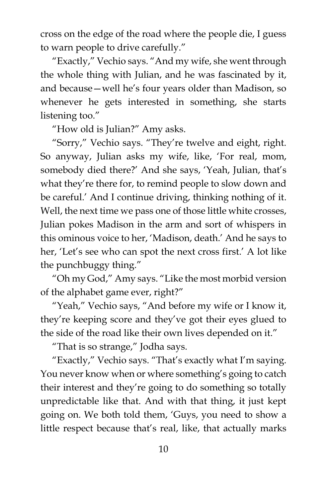cross on the edge of the road where the people die, I guess to warn people to drive carefully."

"Exactly," Vechio says. "And my wife, she went through the whole thing with Julian, and he was fascinated by it, and because—well he's four years older than Madison, so whenever he gets interested in something, she starts listening too."

"How old is Julian?" Amy asks.

"Sorry," Vechio says. "They're twelve and eight, right. So anyway, Julian asks my wife, like, 'For real, mom, somebody died there?' And she says, 'Yeah, Julian, that's what they're there for, to remind people to slow down and be careful.' And I continue driving, thinking nothing of it. Well, the next time we pass one of those little white crosses, Julian pokes Madison in the arm and sort of whispers in this ominous voice to her, 'Madison, death.' And he says to her, 'Let's see who can spot the next cross first.' A lot like the punchbuggy thing."

"Oh my God," Amy says. "Like the most morbid version of the alphabet game ever, right?"

"Yeah," Vechio says, "And before my wife or I know it, they're keeping score and they've got their eyes glued to the side of the road like their own lives depended on it."

"That is so strange," Jodha says.

"Exactly," Vechio says. "That's exactly what I'm saying. You never know when or where something's going to catch their interest and they're going to do something so totally unpredictable like that. And with that thing, it just kept going on. We both told them, 'Guys, you need to show a little respect because that's real, like, that actually marks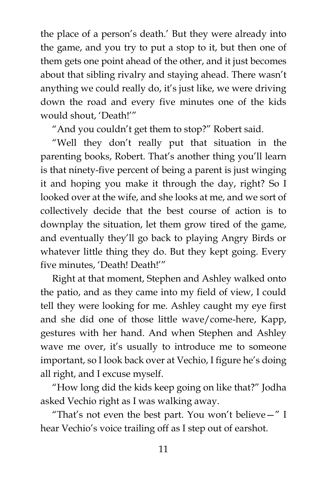the place of a person's death.' But they were already into the game, and you try to put a stop to it, but then one of them gets one point ahead of the other, and it just becomes about that sibling rivalry and staying ahead. There wasn't anything we could really do, it's just like, we were driving down the road and every five minutes one of the kids would shout, 'Death!'"

"And you couldn't get them to stop?" Robert said.

"Well they don't really put that situation in the parenting books, Robert. That's another thing you'll learn is that ninety-five percent of being a parent is just winging it and hoping you make it through the day, right? So I looked over at the wife, and she looks at me, and we sort of collectively decide that the best course of action is to downplay the situation, let them grow tired of the game, and eventually they'll go back to playing Angry Birds or whatever little thing they do. But they kept going. Every five minutes, 'Death! Death!'"

Right at that moment, Stephen and Ashley walked onto the patio, and as they came into my field of view, I could tell they were looking for me. Ashley caught my eye first and she did one of those little wave/come-here, Kapp, gestures with her hand. And when Stephen and Ashley wave me over, it's usually to introduce me to someone important, so I look back over at Vechio, I figure he's doing all right, and I excuse myself.

"How long did the kids keep going on like that?" Jodha asked Vechio right as I was walking away.

"That's not even the best part. You won't believe—" I hear Vechio's voice trailing off as I step out of earshot.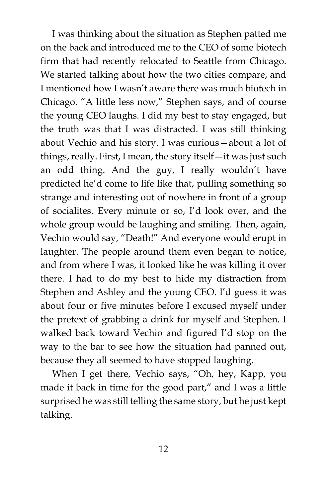I was thinking about the situation as Stephen patted me on the back and introduced me to the CEO of some biotech firm that had recently relocated to Seattle from Chicago. We started talking about how the two cities compare, and I mentioned how I wasn't aware there was much biotech in Chicago. "A little less now," Stephen says, and of course the young CEO laughs. I did my best to stay engaged, but the truth was that I was distracted. I was still thinking about Vechio and his story. I was curious—about a lot of things, really. First, I mean, the story itself—it was just such an odd thing. And the guy, I really wouldn't have predicted he'd come to life like that, pulling something so strange and interesting out of nowhere in front of a group of socialites. Every minute or so, I'd look over, and the whole group would be laughing and smiling. Then, again, Vechio would say, "Death!" And everyone would erupt in laughter. The people around them even began to notice, and from where I was, it looked like he was killing it over there. I had to do my best to hide my distraction from Stephen and Ashley and the young CEO. I'd guess it was about four or five minutes before I excused myself under the pretext of grabbing a drink for myself and Stephen. I walked back toward Vechio and figured I'd stop on the way to the bar to see how the situation had panned out, because they all seemed to have stopped laughing.

When I get there, Vechio says, "Oh, hey, Kapp, you made it back in time for the good part," and I was a little surprised he was still telling the same story, but he just kept talking.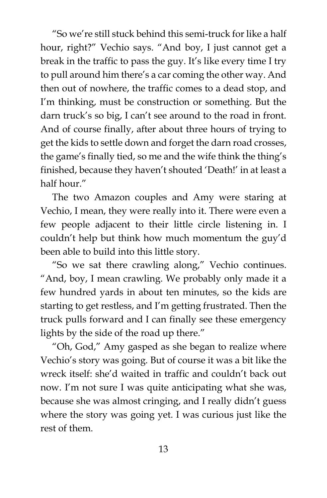"So we're still stuck behind this semi-truck for like a half hour, right?" Vechio says. "And boy, I just cannot get a break in the traffic to pass the guy. It's like every time I try to pull around him there's a car coming the other way. And then out of nowhere, the traffic comes to a dead stop, and I'm thinking, must be construction or something. But the darn truck's so big, I can't see around to the road in front. And of course finally, after about three hours of trying to get the kids to settle down and forget the darn road crosses, the game's finally tied, so me and the wife think the thing's finished, because they haven't shouted 'Death!' in at least a half hour."

The two Amazon couples and Amy were staring at Vechio, I mean, they were really into it. There were even a few people adjacent to their little circle listening in. I couldn't help but think how much momentum the guy'd been able to build into this little story.

"So we sat there crawling along," Vechio continues. "And, boy, I mean crawling. We probably only made it a few hundred yards in about ten minutes, so the kids are starting to get restless, and I'm getting frustrated. Then the truck pulls forward and I can finally see these emergency lights by the side of the road up there."

"Oh, God," Amy gasped as she began to realize where Vechio's story was going. But of course it was a bit like the wreck itself: she'd waited in traffic and couldn't back out now. I'm not sure I was quite anticipating what she was, because she was almost cringing, and I really didn't guess where the story was going yet. I was curious just like the rest of them.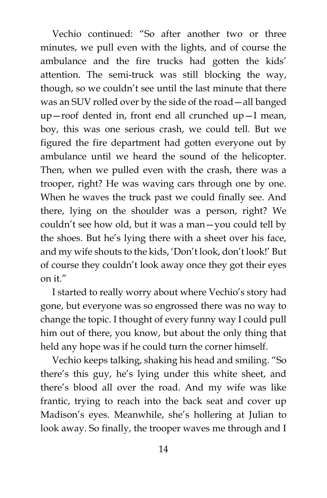Vechio continued: "So after another two or three minutes, we pull even with the lights, and of course the ambulance and the fire trucks had gotten the kids' attention. The semi-truck was still blocking the way, though, so we couldn't see until the last minute that there was an SUV rolled over by the side of the road—all banged up—roof dented in, front end all crunched up—I mean, boy, this was one serious crash, we could tell. But we figured the fire department had gotten everyone out by ambulance until we heard the sound of the helicopter. Then, when we pulled even with the crash, there was a trooper, right? He was waving cars through one by one. When he waves the truck past we could finally see. And there, lying on the shoulder was a person, right? We couldn't see how old, but it was a man—you could tell by the shoes. But he's lying there with a sheet over his face, and my wife shouts to the kids, 'Don't look, don't look!' But of course they couldn't look away once they got their eyes on it."

I started to really worry about where Vechio's story had gone, but everyone was so engrossed there was no way to change the topic. I thought of every funny way I could pull him out of there, you know, but about the only thing that held any hope was if he could turn the corner himself.

Vechio keeps talking, shaking his head and smiling. "So there's this guy, he's lying under this white sheet, and there's blood all over the road. And my wife was like frantic, trying to reach into the back seat and cover up Madison's eyes. Meanwhile, she's hollering at Julian to look away. So finally, the trooper waves me through and I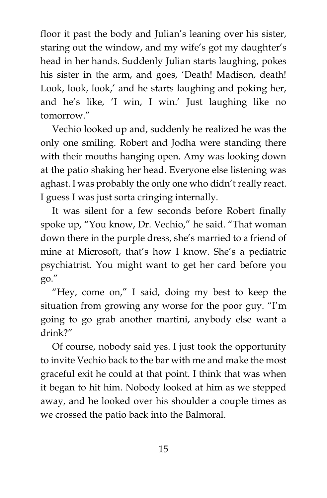floor it past the body and Julian's leaning over his sister, staring out the window, and my wife's got my daughter's head in her hands. Suddenly Julian starts laughing, pokes his sister in the arm, and goes, 'Death! Madison, death! Look, look, look,' and he starts laughing and poking her, and he's like, 'I win, I win.' Just laughing like no tomorrow."

Vechio looked up and, suddenly he realized he was the only one smiling. Robert and Jodha were standing there with their mouths hanging open. Amy was looking down at the patio shaking her head. Everyone else listening was aghast. I was probably the only one who didn't really react. I guess I was just sorta cringing internally.

It was silent for a few seconds before Robert finally spoke up, "You know, Dr. Vechio," he said. "That woman down there in the purple dress, she's married to a friend of mine at Microsoft, that's how I know. She's a pediatric psychiatrist. You might want to get her card before you go."

"Hey, come on," I said, doing my best to keep the situation from growing any worse for the poor guy. "I'm going to go grab another martini, anybody else want a drink?"

Of course, nobody said yes. I just took the opportunity to invite Vechio back to the bar with me and make the most graceful exit he could at that point. I think that was when it began to hit him. Nobody looked at him as we stepped away, and he looked over his shoulder a couple times as we crossed the patio back into the Balmoral.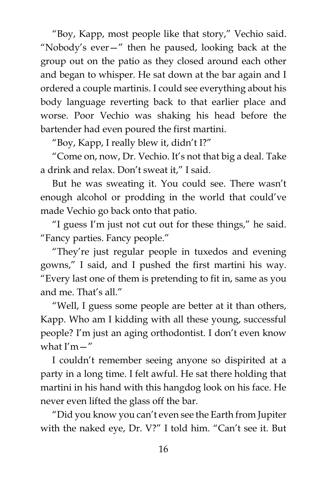"Boy, Kapp, most people like that story," Vechio said. "Nobody's ever—" then he paused, looking back at the group out on the patio as they closed around each other and began to whisper. He sat down at the bar again and I ordered a couple martinis. I could see everything about his body language reverting back to that earlier place and worse. Poor Vechio was shaking his head before the bartender had even poured the first martini.

"Boy, Kapp, I really blew it, didn't I?"

"Come on, now, Dr. Vechio. It's not that big a deal. Take a drink and relax. Don't sweat it," I said.

But he was sweating it. You could see. There wasn't enough alcohol or prodding in the world that could've made Vechio go back onto that patio.

"I guess I'm just not cut out for these things," he said. "Fancy parties. Fancy people."

"They're just regular people in tuxedos and evening gowns," I said, and I pushed the first martini his way. "Every last one of them is pretending to fit in, same as you and me. That's all."

"Well, I guess some people are better at it than others, Kapp. Who am I kidding with all these young, successful people? I'm just an aging orthodontist. I don't even know what  $I'm -''$ 

I couldn't remember seeing anyone so dispirited at a party in a long time. I felt awful. He sat there holding that martini in his hand with this hangdog look on his face. He never even lifted the glass off the bar.

"Did you know you can't even see the Earth from Jupiter with the naked eye, Dr. V?" I told him. "Can't see it. But